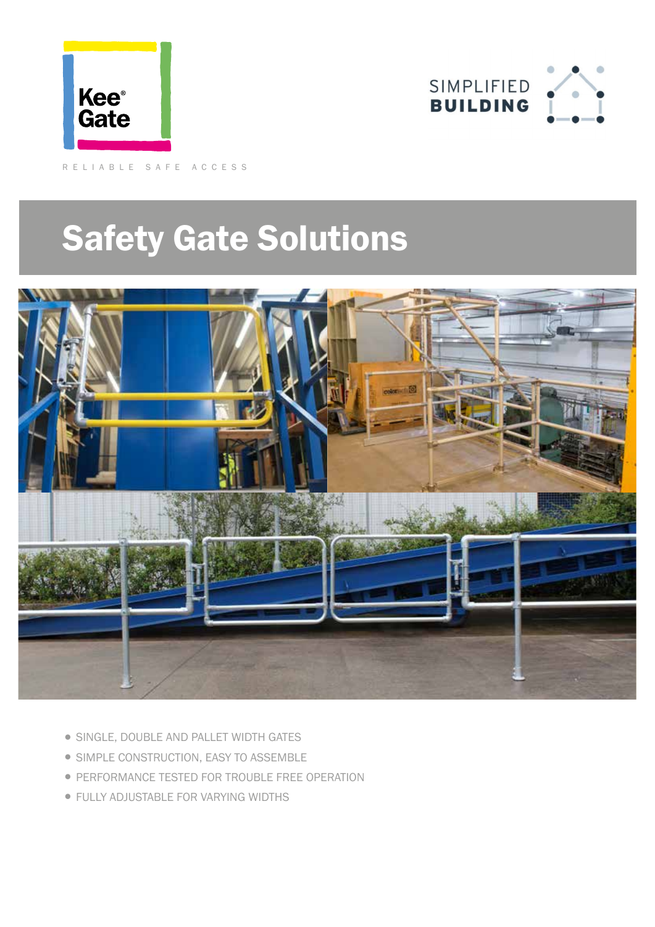



RELIABLE SAFE ACCESS

# Safety Gate Solutions



- SINGLE, DOUBLE AND PALLET WIDTH GATES
- SIMPLE CONSTRUCTION, EASY TO ASSEMBLE
- **PERFORMANCE TESTED FOR TROUBLE FREE OPERATION**
- FULLY ADJUSTABLE FOR VARYING WIDTHS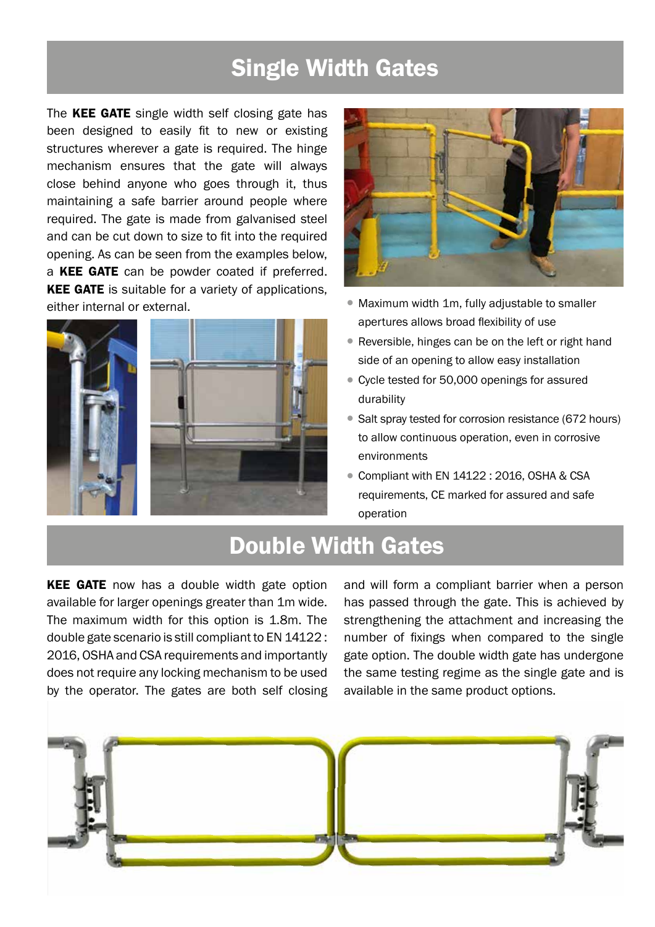#### Single Width Gates

The KEE GATE single width self closing gate has been designed to easily fit to new or existing structures wherever a gate is required. The hinge mechanism ensures that the gate will always close behind anyone who goes through it, thus maintaining a safe barrier around people where required. The gate is made from galvanised steel and can be cut down to size to fit into the required opening. As can be seen from the examples below, a **KEE GATE** can be powder coated if preferred. **KEE GATE** is suitable for a variety of applications, either internal or external.





- Maximum width 1m, fully adjustable to smaller apertures allows broad flexibility of use
- Reversible, hinges can be on the left or right hand side of an opening to allow easy installation
- •Cycle tested for 50,000 openings for assured durability
- Salt spray tested for corrosion resistance (672 hours) to allow continuous operation, even in corrosive environments
- Compliant with EN 14122 : 2016, OSHA & CSA requirements, CE marked for assured and safe operation

#### Double Width Gates

**KEE GATE** now has a double width gate option available for larger openings greater than 1m wide. The maximum width for this option is 1.8m. The double gate scenario is still compliant to EN 14122 : 2016, OSHA and CSA requirements and importantly does not require any locking mechanism to be used by the operator. The gates are both self closing

and will form a compliant barrier when a person has passed through the gate. This is achieved by strengthening the attachment and increasing the number of fixings when compared to the single gate option. The double width gate has undergone the same testing regime as the single gate and is available in the same product options.

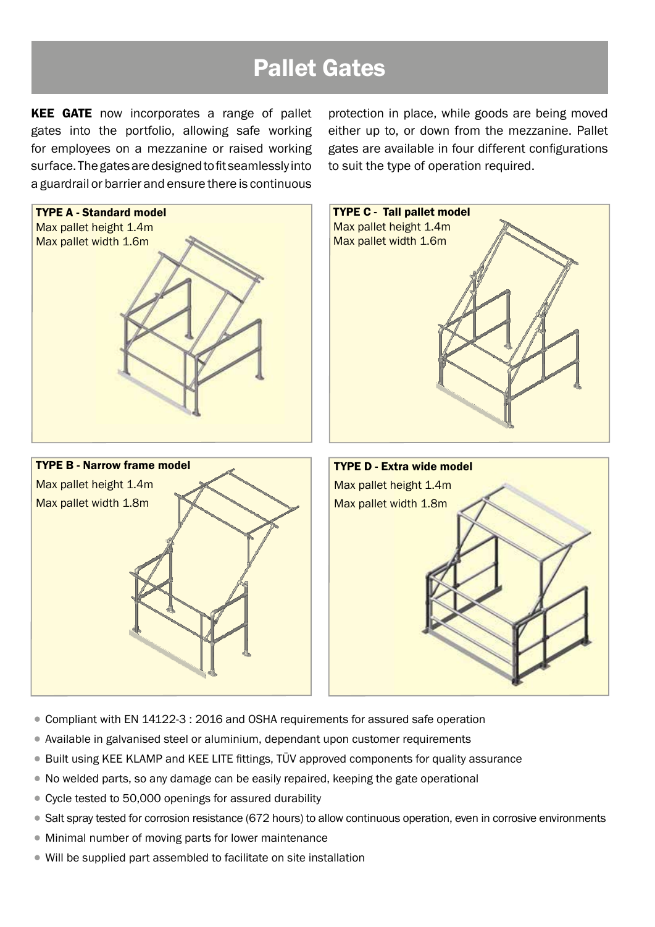### Pallet Gates

**KEE GATE** now incorporates a range of pallet gates into the portfolio, allowing safe working for employees on a mezzanine or raised working surface. The gates are designed to fit seamlessly into a guardrail or barrier and ensure there is continuous protection in place, while goods are being moved either up to, or down from the mezzanine. Pallet gates are available in four different configurations to suit the type of operation required.



- •Compliant with EN 14122-3 : 2016 and OSHA requirements for assured safe operation
- •Available in galvanised steel or aluminium, dependant upon customer requirements
- Built using KEE KLAMP and KEE LITE fittings, TÜV approved components for quality assurance
- •No welded parts, so any damage can be easily repaired, keeping the gate operational
- Cycle tested to 50,000 openings for assured durability
- Salt spray tested for corrosion resistance (672 hours) to allow continuous operation, even in corrosive environments
- Minimal number of moving parts for lower maintenance
- Will be supplied part assembled to facilitate on site installation